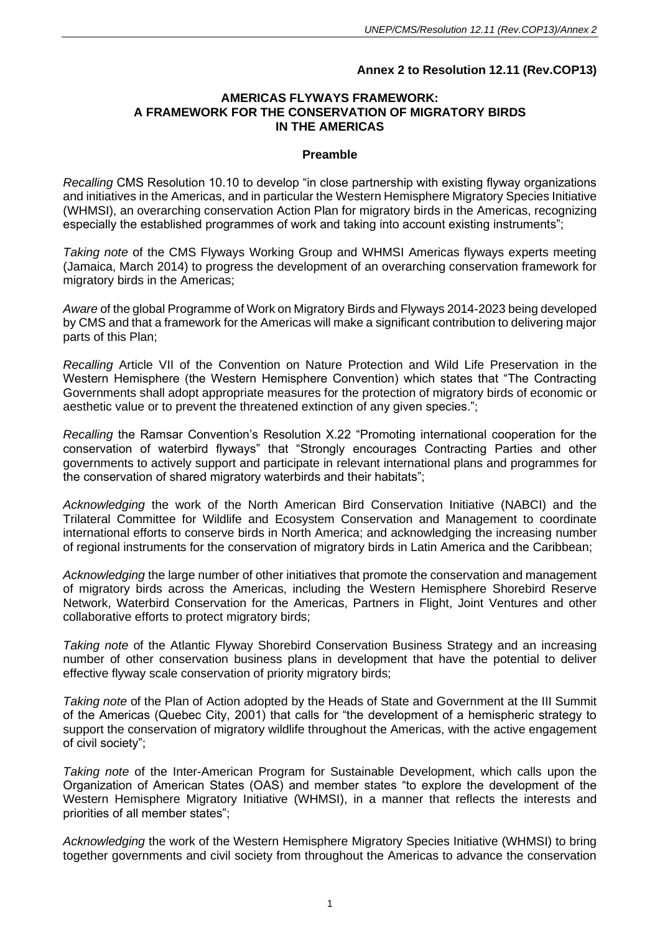### **Annex 2 to Resolution 12.11 (Rev.COP13)**

#### **AMERICAS FLYWAYS FRAMEWORK: A FRAMEWORK FOR THE CONSERVATION OF MIGRATORY BIRDS IN THE AMERICAS**

#### **Preamble**

*Recalling* CMS Resolution 10.10 to develop "in close partnership with existing flyway organizations and initiatives in the Americas, and in particular the Western Hemisphere Migratory Species Initiative (WHMSI), an overarching conservation Action Plan for migratory birds in the Americas, recognizing especially the established programmes of work and taking into account existing instruments";

*Taking note* of the CMS Flyways Working Group and WHMSI Americas flyways experts meeting (Jamaica, March 2014) to progress the development of an overarching conservation framework for migratory birds in the Americas;

*Aware* of the global Programme of Work on Migratory Birds and Flyways 2014-2023 being developed by CMS and that a framework for the Americas will make a significant contribution to delivering major parts of this Plan;

*Recalling* Article VII of the Convention on Nature Protection and Wild Life Preservation in the Western Hemisphere (the Western Hemisphere Convention) which states that "The Contracting Governments shall adopt appropriate measures for the protection of migratory birds of economic or aesthetic value or to prevent the threatened extinction of any given species.";

*Recalling* the Ramsar Convention's Resolution X.22 "Promoting international cooperation for the conservation of waterbird flyways" that "Strongly encourages Contracting Parties and other governments to actively support and participate in relevant international plans and programmes for the conservation of shared migratory waterbirds and their habitats";

*Acknowledging* the work of the North American Bird Conservation Initiative (NABCI) and the Trilateral Committee for Wildlife and Ecosystem Conservation and Management to coordinate international efforts to conserve birds in North America; and acknowledging the increasing number of regional instruments for the conservation of migratory birds in Latin America and the Caribbean;

*Acknowledging* the large number of other initiatives that promote the conservation and management of migratory birds across the Americas, including the Western Hemisphere Shorebird Reserve Network, Waterbird Conservation for the Americas, Partners in Flight, Joint Ventures and other collaborative efforts to protect migratory birds;

*Taking note* of the Atlantic Flyway Shorebird Conservation Business Strategy and an increasing number of other conservation business plans in development that have the potential to deliver effective flyway scale conservation of priority migratory birds;

*Taking note* of the Plan of Action adopted by the Heads of State and Government at the III Summit of the Americas (Quebec City, 2001) that calls for "the development of a hemispheric strategy to support the conservation of migratory wildlife throughout the Americas, with the active engagement of civil society";

*Taking note* of the Inter-American Program for Sustainable Development, which calls upon the Organization of American States (OAS) and member states "to explore the development of the Western Hemisphere Migratory Initiative (WHMSI), in a manner that reflects the interests and priorities of all member states";

*Acknowledging* the work of the Western Hemisphere Migratory Species Initiative (WHMSI) to bring together governments and civil society from throughout the Americas to advance the conservation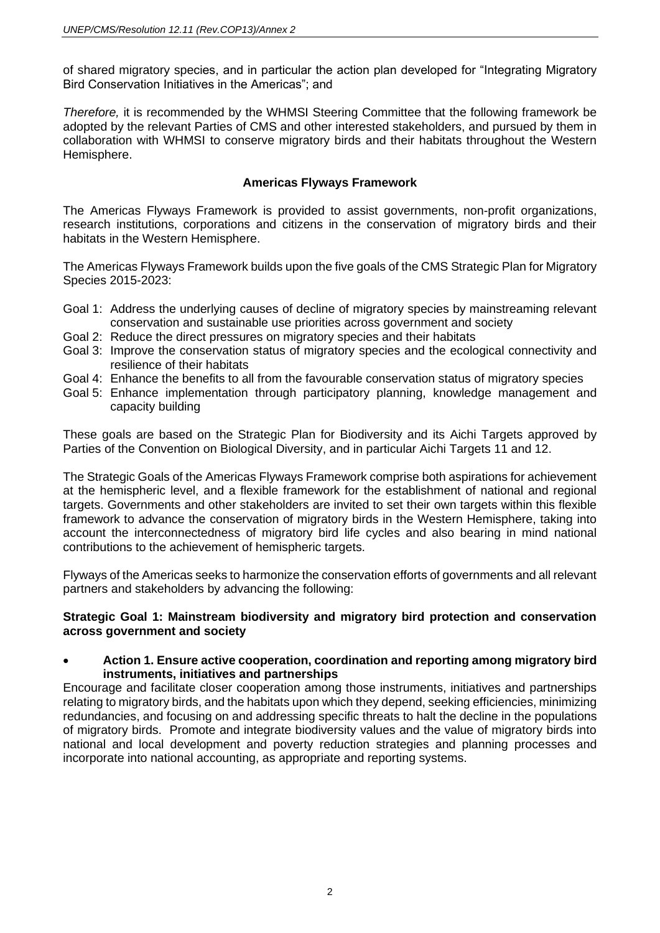of shared migratory species, and in particular the action plan developed for "Integrating Migratory Bird Conservation Initiatives in the Americas"; and

*Therefore,* it is recommended by the WHMSI Steering Committee that the following framework be adopted by the relevant Parties of CMS and other interested stakeholders, and pursued by them in collaboration with WHMSI to conserve migratory birds and their habitats throughout the Western Hemisphere.

## **Americas Flyways Framework**

The Americas Flyways Framework is provided to assist governments, non-profit organizations, research institutions, corporations and citizens in the conservation of migratory birds and their habitats in the Western Hemisphere.

The Americas Flyways Framework builds upon the five goals of the CMS Strategic Plan for Migratory Species 2015-2023:

- Goal 1: Address the underlying causes of decline of migratory species by mainstreaming relevant conservation and sustainable use priorities across government and society
- Goal 2: Reduce the direct pressures on migratory species and their habitats
- Goal 3: Improve the conservation status of migratory species and the ecological connectivity and resilience of their habitats
- Goal 4: Enhance the benefits to all from the favourable conservation status of migratory species
- Goal 5: Enhance implementation through participatory planning, knowledge management and capacity building

These goals are based on the Strategic Plan for Biodiversity and its Aichi Targets approved by Parties of the Convention on Biological Diversity, and in particular Aichi Targets 11 and 12.

The Strategic Goals of the Americas Flyways Framework comprise both aspirations for achievement at the hemispheric level, and a flexible framework for the establishment of national and regional targets. Governments and other stakeholders are invited to set their own targets within this flexible framework to advance the conservation of migratory birds in the Western Hemisphere, taking into account the interconnectedness of migratory bird life cycles and also bearing in mind national contributions to the achievement of hemispheric targets.

Flyways of the Americas seeks to harmonize the conservation efforts of governments and all relevant partners and stakeholders by advancing the following:

#### **Strategic Goal 1: Mainstream biodiversity and migratory bird protection and conservation across government and society**

#### • **Action 1. Ensure active cooperation, coordination and reporting among migratory bird instruments, initiatives and partnerships**

Encourage and facilitate closer cooperation among those instruments, initiatives and partnerships relating to migratory birds, and the habitats upon which they depend, seeking efficiencies, minimizing redundancies, and focusing on and addressing specific threats to halt the decline in the populations of migratory birds. Promote and integrate biodiversity values and the value of migratory birds into national and local development and poverty reduction strategies and planning processes and incorporate into national accounting, as appropriate and reporting systems.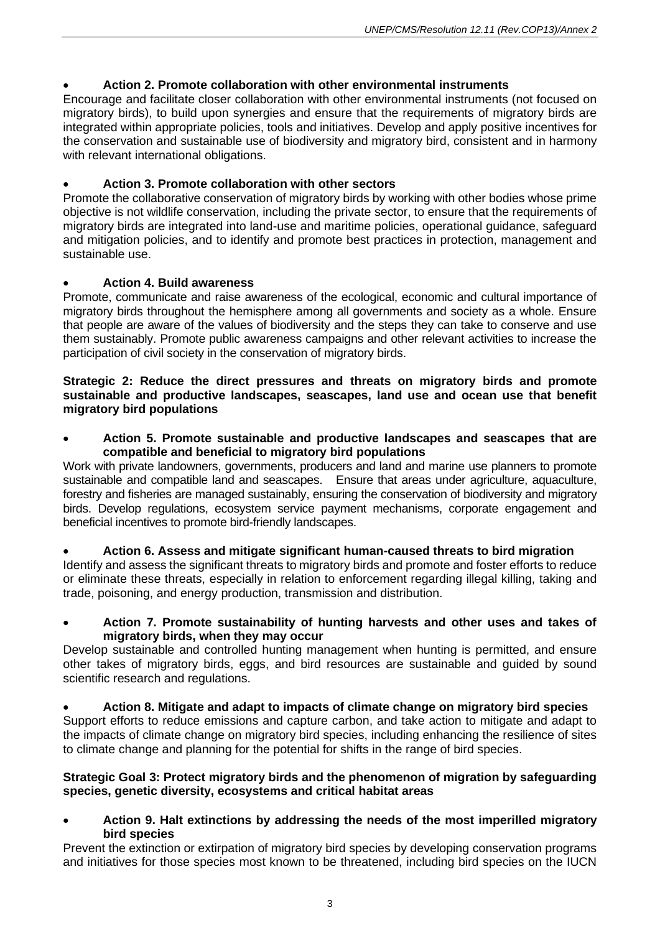## • **Action 2. Promote collaboration with other environmental instruments**

Encourage and facilitate closer collaboration with other environmental instruments (not focused on migratory birds), to build upon synergies and ensure that the requirements of migratory birds are integrated within appropriate policies, tools and initiatives. Develop and apply positive incentives for the conservation and sustainable use of biodiversity and migratory bird, consistent and in harmony with relevant international obligations.

## • **Action 3. Promote collaboration with other sectors**

Promote the collaborative conservation of migratory birds by working with other bodies whose prime objective is not wildlife conservation, including the private sector, to ensure that the requirements of migratory birds are integrated into land-use and maritime policies, operational guidance, safeguard and mitigation policies, and to identify and promote best practices in protection, management and sustainable use.

## • **Action 4. Build awareness**

Promote, communicate and raise awareness of the ecological, economic and cultural importance of migratory birds throughout the hemisphere among all governments and society as a whole. Ensure that people are aware of the values of biodiversity and the steps they can take to conserve and use them sustainably. Promote public awareness campaigns and other relevant activities to increase the participation of civil society in the conservation of migratory birds.

#### **Strategic 2: Reduce the direct pressures and threats on migratory birds and promote sustainable and productive landscapes, seascapes, land use and ocean use that benefit migratory bird populations**

• **Action 5. Promote sustainable and productive landscapes and seascapes that are compatible and beneficial to migratory bird populations**

Work with private landowners, governments, producers and land and marine use planners to promote sustainable and compatible land and seascapes. Ensure that areas under agriculture, aquaculture, forestry and fisheries are managed sustainably, ensuring the conservation of biodiversity and migratory birds. Develop regulations, ecosystem service payment mechanisms, corporate engagement and beneficial incentives to promote bird-friendly landscapes.

#### • **Action 6. Assess and mitigate significant human-caused threats to bird migration**

Identify and assess the significant threats to migratory birds and promote and foster efforts to reduce or eliminate these threats, especially in relation to enforcement regarding illegal killing, taking and trade, poisoning, and energy production, transmission and distribution.

#### • **Action 7. Promote sustainability of hunting harvests and other uses and takes of migratory birds, when they may occur**

Develop sustainable and controlled hunting management when hunting is permitted, and ensure other takes of migratory birds, eggs, and bird resources are sustainable and guided by sound scientific research and regulations.

# • **Action 8. Mitigate and adapt to impacts of climate change on migratory bird species** Support efforts to reduce emissions and capture carbon, and take action to mitigate and adapt to

the impacts of climate change on migratory bird species, including enhancing the resilience of sites to climate change and planning for the potential for shifts in the range of bird species.

#### **Strategic Goal 3: Protect migratory birds and the phenomenon of migration by safeguarding species, genetic diversity, ecosystems and critical habitat areas**

• **Action 9. Halt extinctions by addressing the needs of the most imperilled migratory bird species**

Prevent the extinction or extirpation of migratory bird species by developing conservation programs and initiatives for those species most known to be threatened, including bird species on the IUCN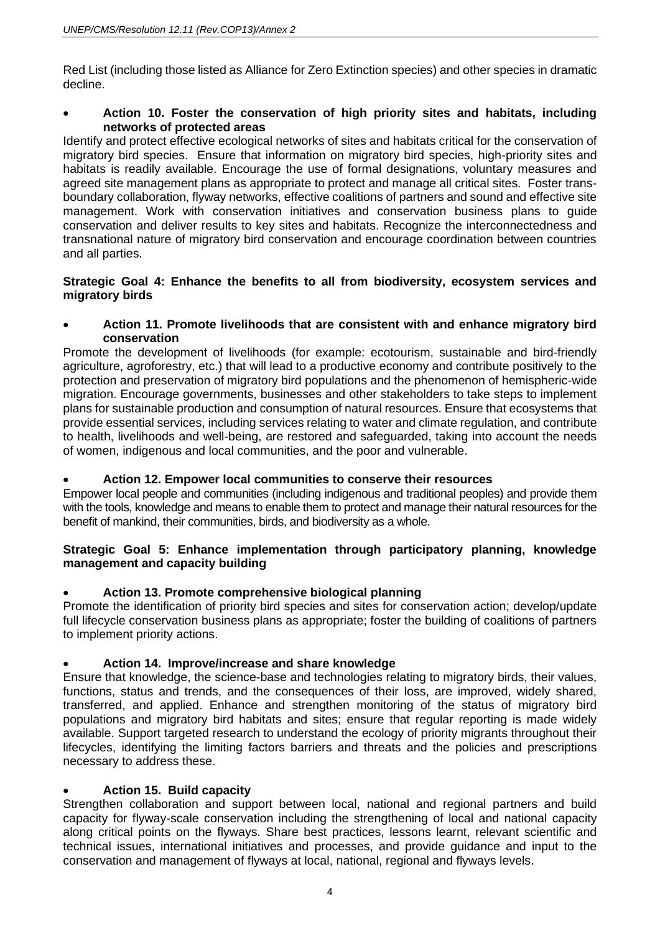Red List (including those listed as Alliance for Zero Extinction species) and other species in dramatic decline.

## • **Action 10. Foster the conservation of high priority sites and habitats, including networks of protected areas**

Identify and protect effective ecological networks of sites and habitats critical for the conservation of migratory bird species. Ensure that information on migratory bird species, high-priority sites and habitats is readily available. Encourage the use of formal designations, voluntary measures and agreed site management plans as appropriate to protect and manage all critical sites. Foster transboundary collaboration, flyway networks, effective coalitions of partners and sound and effective site management. Work with conservation initiatives and conservation business plans to guide conservation and deliver results to key sites and habitats. Recognize the interconnectedness and transnational nature of migratory bird conservation and encourage coordination between countries and all parties.

## **Strategic Goal 4: Enhance the benefits to all from biodiversity, ecosystem services and migratory birds**

### • **Action 11. Promote livelihoods that are consistent with and enhance migratory bird conservation**

Promote the development of livelihoods (for example: ecotourism, sustainable and bird-friendly agriculture, agroforestry, etc.) that will lead to a productive economy and contribute positively to the protection and preservation of migratory bird populations and the phenomenon of hemispheric-wide migration. Encourage governments, businesses and other stakeholders to take steps to implement plans for sustainable production and consumption of natural resources. Ensure that ecosystems that provide essential services, including services relating to water and climate regulation, and contribute to health, livelihoods and well-being, are restored and safeguarded, taking into account the needs of women, indigenous and local communities, and the poor and vulnerable.

## • **Action 12. Empower local communities to conserve their resources**

Empower local people and communities (including indigenous and traditional peoples) and provide them with the tools, knowledge and means to enable them to protect and manage their natural resources for the benefit of mankind, their communities, birds, and biodiversity as a whole.

## **Strategic Goal 5: Enhance implementation through participatory planning, knowledge management and capacity building**

## • **Action 13. Promote comprehensive biological planning**

Promote the identification of priority bird species and sites for conservation action; develop/update full lifecycle conservation business plans as appropriate; foster the building of coalitions of partners to implement priority actions.

## • **Action 14. Improve/increase and share knowledge**

Ensure that knowledge, the science-base and technologies relating to migratory birds, their values, functions, status and trends, and the consequences of their loss, are improved, widely shared, transferred, and applied. Enhance and strengthen monitoring of the status of migratory bird populations and migratory bird habitats and sites; ensure that regular reporting is made widely available. Support targeted research to understand the ecology of priority migrants throughout their lifecycles, identifying the limiting factors barriers and threats and the policies and prescriptions necessary to address these.

## • **Action 15. Build capacity**

Strengthen collaboration and support between local, national and regional partners and build capacity for flyway-scale conservation including the strengthening of local and national capacity along critical points on the flyways. Share best practices, lessons learnt, relevant scientific and technical issues, international initiatives and processes, and provide guidance and input to the conservation and management of flyways at local, national, regional and flyways levels.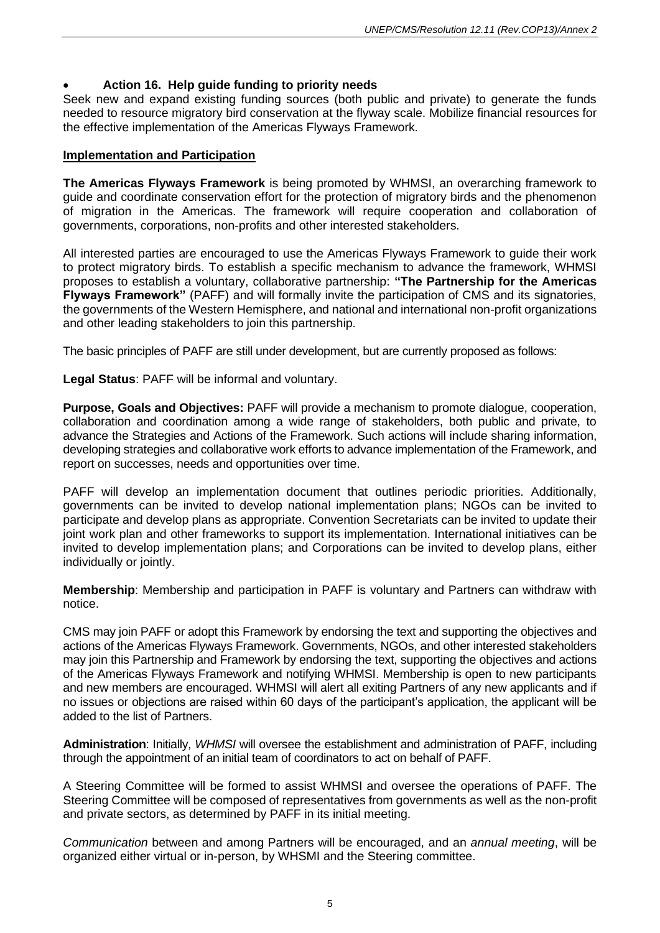## • **Action 16. Help guide funding to priority needs**

Seek new and expand existing funding sources (both public and private) to generate the funds needed to resource migratory bird conservation at the flyway scale. Mobilize financial resources for the effective implementation of the Americas Flyways Framework.

#### **Implementation and Participation**

**The Americas Flyways Framework** is being promoted by WHMSI, an overarching framework to guide and coordinate conservation effort for the protection of migratory birds and the phenomenon of migration in the Americas. The framework will require cooperation and collaboration of governments, corporations, non-profits and other interested stakeholders.

All interested parties are encouraged to use the Americas Flyways Framework to guide their work to protect migratory birds. To establish a specific mechanism to advance the framework, WHMSI proposes to establish a voluntary, collaborative partnership: **"The Partnership for the Americas Flyways Framework"** (PAFF) and will formally invite the participation of CMS and its signatories, the governments of the Western Hemisphere, and national and international non-profit organizations and other leading stakeholders to join this partnership.

The basic principles of PAFF are still under development, but are currently proposed as follows:

**Legal Status**: PAFF will be informal and voluntary.

**Purpose, Goals and Objectives:** PAFF will provide a mechanism to promote dialogue, cooperation, collaboration and coordination among a wide range of stakeholders, both public and private, to advance the Strategies and Actions of the Framework. Such actions will include sharing information, developing strategies and collaborative work efforts to advance implementation of the Framework, and report on successes, needs and opportunities over time.

PAFF will develop an implementation document that outlines periodic priorities. Additionally, governments can be invited to develop national implementation plans; NGOs can be invited to participate and develop plans as appropriate. Convention Secretariats can be invited to update their joint work plan and other frameworks to support its implementation. International initiatives can be invited to develop implementation plans; and Corporations can be invited to develop plans, either individually or jointly.

**Membership**: Membership and participation in PAFF is voluntary and Partners can withdraw with notice.

CMS may join PAFF or adopt this Framework by endorsing the text and supporting the objectives and actions of the Americas Flyways Framework. Governments, NGOs, and other interested stakeholders may join this Partnership and Framework by endorsing the text, supporting the objectives and actions of the Americas Flyways Framework and notifying WHMSI. Membership is open to new participants and new members are encouraged. WHMSI will alert all exiting Partners of any new applicants and if no issues or objections are raised within 60 days of the participant's application, the applicant will be added to the list of Partners.

**Administration**: Initially, *WHMSI* will oversee the establishment and administration of PAFF, including through the appointment of an initial team of coordinators to act on behalf of PAFF.

A Steering Committee will be formed to assist WHMSI and oversee the operations of PAFF. The Steering Committee will be composed of representatives from governments as well as the non-profit and private sectors, as determined by PAFF in its initial meeting.

*Communication* between and among Partners will be encouraged, and an *annual meeting*, will be organized either virtual or in-person, by WHSMI and the Steering committee.